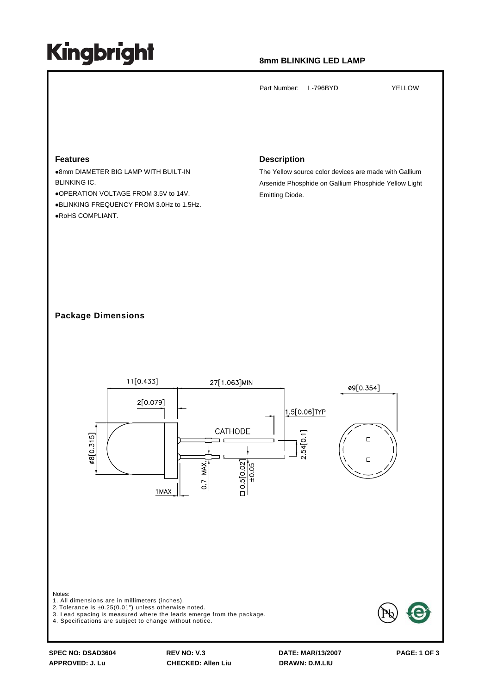# **Kingbright**

# **8mm BLINKING LED LAMP**

Part Number: L-796BYD YELLOW

#### **Features**

**.8mm DIAMETER BIG LAMP WITH BUILT-IN** BLINKING IC. zOPERATION VOLTAGE FROM 3.5V to 14V. **•BLINKING FREQUENCY FROM 3.0Hz to 1.5Hz.** ·RoHS COMPLIANT.

### **Description**

The Yellow source color devices are made with Gallium Arsenide Phosphide on Gallium Phosphide Yellow Light Emitting Diode.

## **Package Dimensions**



**SPEC NO: DSAD3604 REV NO: V.3 DATE: MAR/13/2007 PAGE: 1 OF 3**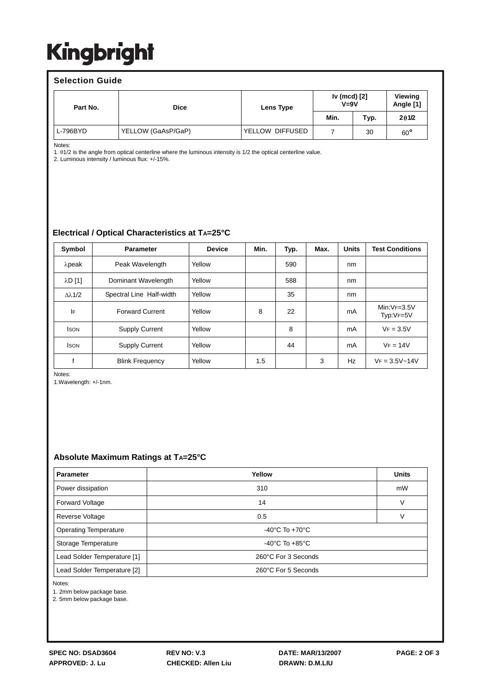# Kingbright

### **Selection Guide**

| Part No.   | <b>Dice</b>        | Lens Type       | Iv (mcd) [2]<br>$V = 9V$ |      | Viewing<br>Angle [1] |
|------------|--------------------|-----------------|--------------------------|------|----------------------|
|            |                    |                 | Min.                     | Typ. | 201/2                |
| $L-796BYD$ | YELLOW (GaAsP/GaP) | YELLOW DIFFUSED |                          | 30   | $60^{\circ}$         |

Notes:

1. θ1/2 is the angle from optical centerline where the luminous intensity is 1/2 the optical centerline value.

2. Luminous intensity / luminous flux: +/-15%.

## **Electrical / Optical Characteristics at TA=25°C**

| Symbol               | <b>Parameter</b>         | <b>Device</b> | Min. | Typ. | Max. | <b>Units</b> | <b>Test Conditions</b>     |
|----------------------|--------------------------|---------------|------|------|------|--------------|----------------------------|
| $λ$ peak             | Peak Wavelength          | Yellow        |      | 590  |      | nm           |                            |
| $\lambda$ D $[1]$    | Dominant Wavelength      | Yellow        |      | 588  |      | nm           |                            |
| $\Delta \lambda$ 1/2 | Spectral Line Half-width | Yellow        |      | 35   |      | nm           |                            |
| IF                   | <b>Forward Current</b>   | Yellow        | 8    | 22   |      | mA           | $Min:VF=3.5V$<br>Typ:VF=5V |
| <b>ISON</b>          | <b>Supply Current</b>    | Yellow        |      | 8    |      | mA           | $VF = 3.5V$                |
| <b>ISON</b>          | <b>Supply Current</b>    | Yellow        |      | 44   |      | mA           | $VF = 14V$                 |
|                      | <b>Blink Frequency</b>   | Yellow        | 1.5  |      | 3    | Hz           | $VF = 3.5V - 14V$          |

Notes:

1.Wavelength: +/-1nm.

### **Absolute Maximum Ratings at TA=25°C**

| Parameter                                          | Yellow                             | <b>Units</b> |  |  |
|----------------------------------------------------|------------------------------------|--------------|--|--|
| Power dissipation                                  | 310                                | mW           |  |  |
| <b>Forward Voltage</b>                             | 14                                 | v            |  |  |
| Reverse Voltage                                    | 0.5                                |              |  |  |
| <b>Operating Temperature</b>                       | $-40^{\circ}$ C To $+70^{\circ}$ C |              |  |  |
| Storage Temperature                                | -40°C To $+85$ °C                  |              |  |  |
| 260°C For 3 Seconds<br>Lead Solder Temperature [1] |                                    |              |  |  |
| 260°C For 5 Seconds<br>Lead Solder Temperature [2] |                                    |              |  |  |

Notes:

1. 2mm below package base.

2. 5mm below package base.